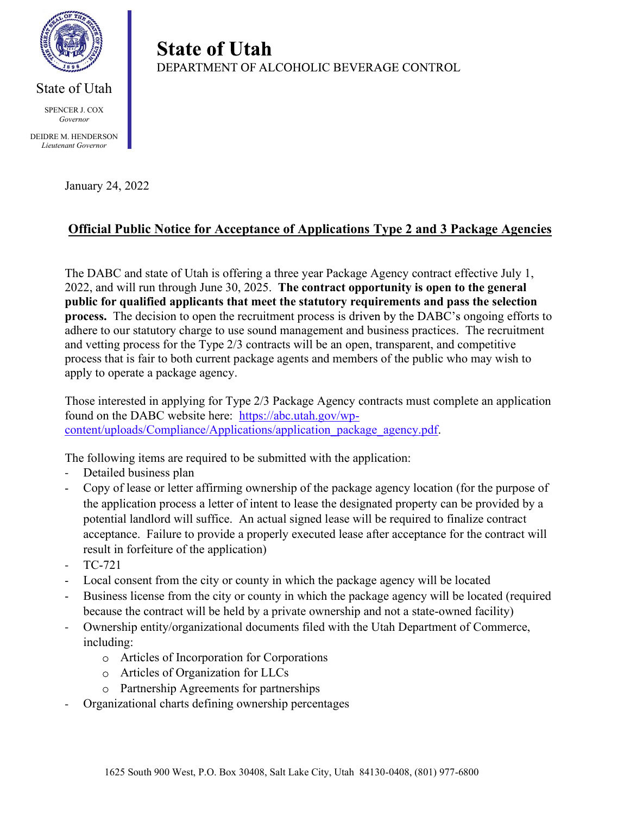

 SPENCER J. COX Governor

 DEIDRE M. HENDERSON Lieutenant Governor

## January 24, 2022

## Official Public Notice for Acceptance of Applications Type 2 and 3 Package Agencies

The DABC and state of Utah is offering a three year Package Agency contract effective July 1, 2022, and will run through June 30, 2025. The contract opportunity is open to the general public for qualified applicants that meet the statutory requirements and pass the selection process. The decision to open the recruitment process is driven by the DABC's ongoing efforts to adhere to our statutory charge to use sound management and business practices. The recruitment and vetting process for the Type 2/3 contracts will be an open, transparent, and competitive process that is fair to both current package agents and members of the public who may wish to apply to operate a package agency.

Those interested in applying for Type 2/3 Package Agency contracts must complete an application found on the DABC website here: https://abc.utah.gov/wpcontent/uploads/Compliance/Applications/application\_package\_agency.pdf.

The following items are required to be submitted with the application:

**State of Utah** 

- Detailed business plan  $\omega_{\rm{eff}}$
- Copy of lease or letter affirming ownership of the package agency location (for the purpose of  $\mathbb{R}^{\mathbb{Z}}$ the application process a letter of intent to lease the designated property can be provided by a potential landlord will suffice. An actual signed lease will be required to finalize contract acceptance. Failure to provide a properly executed lease after acceptance for the contract will result in forfeiture of the application)
- TC-721
- Local consent from the city or county in which the package agency will be located  $\mathbf{r}$
- Business license from the city or county in which the package agency will be located (required because the contract will be held by a private ownership and not a state-owned facility)
- Ownership entity/organizational documents filed with the Utah Department of Commerce,  $\omega_{\rm{eff}}$ including:
	- Articles of Incorporation for Corporations
	- Articles of Organization for LLCs
	- Partnership Agreements for partnerships
- Organizational charts defining ownership percentages